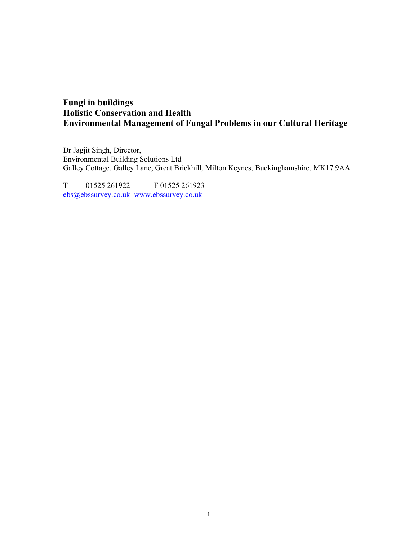# Fungi in buildings Holistic Conservation and Health Environmental Management of Fungal Problems in our Cultural Heritage

Dr Jagjit Singh, Director, Environmental Building Solutions Ltd Galley Cottage, Galley Lane, Great Brickhill, Milton Keynes, Buckinghamshire, MK17 9AA

T 01525 261922 F 01525 261923 ebs@ebssurvey.co.uk www.ebssurvey.co.uk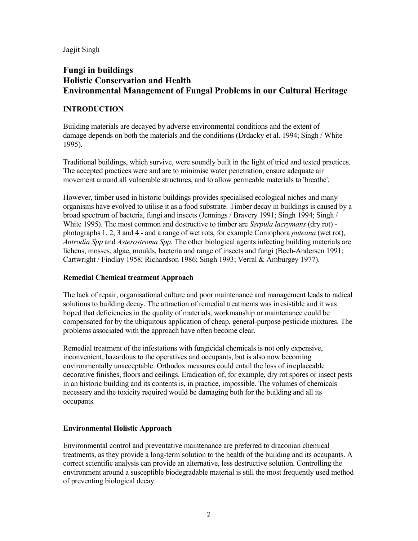Jagjit Singh

## Fungi in buildings Holistic Conservation and Health Environmental Management of Fungal Problems in our Cultural Heritage

## INTRODUCTION

Building materials are decayed by adverse environmental conditions and the extent of damage depends on both the materials and the conditions (Drdacky et al. 1994; Singh / White 1995).

Traditional buildings, which survive, were soundly built in the light of tried and tested practices. The accepted practices were and are to minimise water penetration, ensure adequate air movement around all vulnerable structures, and to allow permeable materials to 'breathe'.

However, timber used in historic buildings provides specialised ecological niches and many organisms have evolved to utilise it as a food substrate. Timber decay in buildings is caused by a broad spectrum of bacteria, fungi and insects (Jennings / Bravery 1991; Singh 1994; Singh / White 1995). The most common and destructive to timber are *Serpula lacrymans* (dry rot) photographs 1, 2, 3 and 4 - and a range of wet rots, for example Coniophora puteana (wet rot), Antrodia Spp and Asterostroma Spp. The other biological agents infecting building materials are lichens, mosses, algae, moulds, bacteria and range of insects and fungi (Bech-Andersen 1991; Cartwright / Findlay 1958; Richardson 1986; Singh 1993; Verral & Amburgey 1977).

## Remedial Chemical treatment Approach

The lack of repair, organisational culture and poor maintenance and management leads to radical solutions to building decay. The attraction of remedial treatments was irresistible and it was hoped that deficiencies in the quality of materials, workmanship or maintenance could be compensated for by the ubiquitous application of cheap, general-purpose pesticide mixtures. The problems associated with the approach have often become clear.

Remedial treatment of the infestations with fungicidal chemicals is not only expensive, inconvenient, hazardous to the operatives and occupants, but is also now becoming environmentally unacceptable. Orthodox measures could entail the loss of irreplaceable decorative finishes, floors and ceilings. Eradication of, for example, dry rot spores or insect pests in an historic building and its contents is, in practice, impossible. The volumes of chemicals necessary and the toxicity required would be damaging both for the building and all its occupants.

## Environmental Holistic Approach

Environmental control and preventative maintenance are preferred to draconian chemical treatments, as they provide a long-term solution to the health of the building and its occupants. A correct scientific analysis can provide an alternative, less destructive solution. Controlling the environment around a susceptible biodegradable material is still the most frequently used method of preventing biological decay.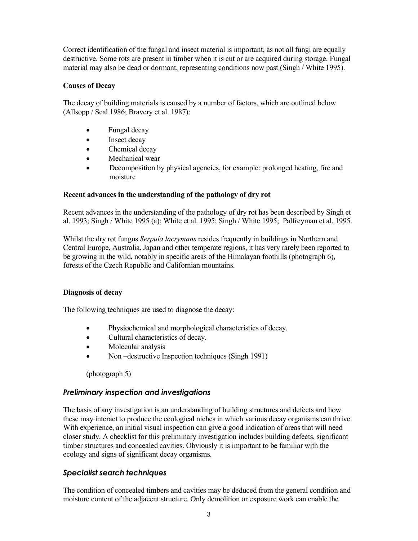Correct identification of the fungal and insect material is important, as not all fungi are equally destructive. Some rots are present in timber when it is cut or are acquired during storage. Fungal material may also be dead or dormant, representing conditions now past (Singh / White 1995).

#### Causes of Decay

The decay of building materials is caused by a number of factors, which are outlined below (Allsopp / Seal 1986; Bravery et al. 1987):

- Fungal decay
- Insect decay
- Chemical decay
- Mechanical wear
- Decomposition by physical agencies, for example: prolonged heating, fire and moisture

#### Recent advances in the understanding of the pathology of dry rot

Recent advances in the understanding of the pathology of dry rot has been described by Singh et al. 1993; Singh / White 1995 (a); White et al. 1995; Singh / White 1995; Palfreyman et al. 1995.

Whilst the dry rot fungus *Serpula lacrymans* resides frequently in buildings in Northern and Central Europe, Australia, Japan and other temperate regions, it has very rarely been reported to be growing in the wild, notably in specific areas of the Himalayan foothills (photograph 6), forests of the Czech Republic and Californian mountains.

#### Diagnosis of decay

The following techniques are used to diagnose the decay:

- Physiochemical and morphological characteristics of decay.
- Cultural characteristics of decay.
- Molecular analysis
- Non-destructive Inspection techniques (Singh 1991)

(photograph 5)

#### Preliminary inspection and investigations

The basis of any investigation is an understanding of building structures and defects and how these may interact to produce the ecological niches in which various decay organisms can thrive. With experience, an initial visual inspection can give a good indication of areas that will need closer study. A checklist for this preliminary investigation includes building defects, significant timber structures and concealed cavities. Obviously it is important to be familiar with the ecology and signs of significant decay organisms.

## Specialist search techniques

The condition of concealed timbers and cavities may be deduced from the general condition and moisture content of the adjacent structure. Only demolition or exposure work can enable the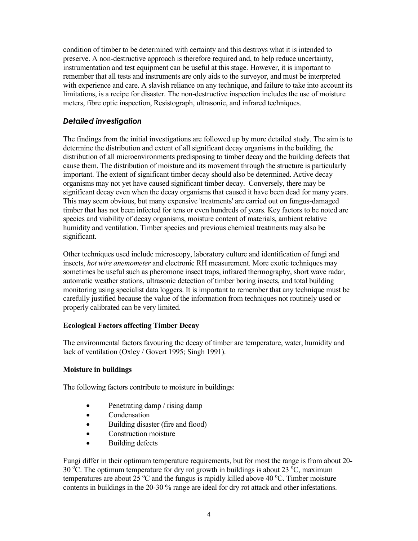condition of timber to be determined with certainty and this destroys what it is intended to preserve. A non-destructive approach is therefore required and, to help reduce uncertainty, instrumentation and test equipment can be useful at this stage. However, it is important to remember that all tests and instruments are only aids to the surveyor, and must be interpreted with experience and care. A slavish reliance on any technique, and failure to take into account its limitations, is a recipe for disaster. The non-destructive inspection includes the use of moisture meters, fibre optic inspection, Resistograph, ultrasonic, and infrared techniques.

## Detailed investigation

The findings from the initial investigations are followed up by more detailed study. The aim is to determine the distribution and extent of all significant decay organisms in the building, the distribution of all microenvironments predisposing to timber decay and the building defects that cause them. The distribution of moisture and its movement through the structure is particularly important. The extent of significant timber decay should also be determined. Active decay organisms may not yet have caused significant timber decay. Conversely, there may be significant decay even when the decay organisms that caused it have been dead for many years. This may seem obvious, but many expensive 'treatments' are carried out on fungus-damaged timber that has not been infected for tens or even hundreds of years. Key factors to be noted are species and viability of decay organisms, moisture content of materials, ambient relative humidity and ventilation. Timber species and previous chemical treatments may also be significant.

Other techniques used include microscopy, laboratory culture and identification of fungi and insects, hot wire anemometer and electronic RH measurement. More exotic techniques may sometimes be useful such as pheromone insect traps, infrared thermography, short wave radar, automatic weather stations, ultrasonic detection of timber boring insects, and total building monitoring using specialist data loggers. It is important to remember that any technique must be carefully justified because the value of the information from techniques not routinely used or properly calibrated can be very limited.

## Ecological Factors affecting Timber Decay

The environmental factors favouring the decay of timber are temperature, water, humidity and lack of ventilation (Oxley / Govert 1995; Singh 1991).

## Moisture in buildings

The following factors contribute to moisture in buildings:

- Penetrating damp / rising damp
- Condensation
- Building disaster (fire and flood)
- Construction moisture
- Building defects

Fungi differ in their optimum temperature requirements, but for most the range is from about 20- 30 °C. The optimum temperature for dry rot growth in buildings is about 23 °C, maximum temperatures are about  $25^{\circ}$ C and the fungus is rapidly killed above 40  $^{\circ}$ C. Timber moisture contents in buildings in the 20-30 % range are ideal for dry rot attack and other infestations.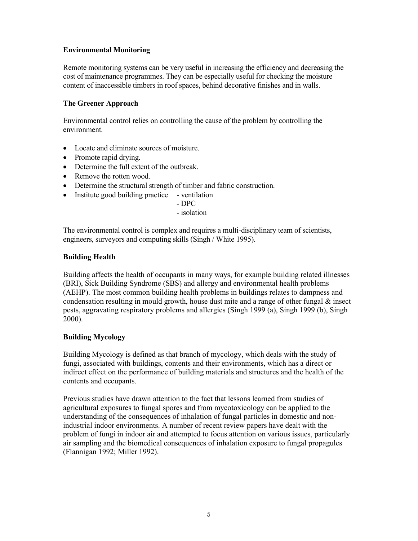## Environmental Monitoring

Remote monitoring systems can be very useful in increasing the efficiency and decreasing the cost of maintenance programmes. They can be especially useful for checking the moisture content of inaccessible timbers in roof spaces, behind decorative finishes and in walls.

#### The Greener Approach

Environmental control relies on controlling the cause of the problem by controlling the environment.

- Locate and eliminate sources of moisture.
- Promote rapid drying.
- Determine the full extent of the outbreak.
- Remove the rotten wood.
- Determine the structural strength of timber and fabric construction.
- Institute good building practice ventilation

- DPC

- isolation

The environmental control is complex and requires a multi-disciplinary team of scientists, engineers, surveyors and computing skills (Singh / White 1995).

#### Building Health

Building affects the health of occupants in many ways, for example building related illnesses (BRI), Sick Building Syndrome (SBS) and allergy and environmental health problems (AEHP). The most common building health problems in buildings relates to dampness and condensation resulting in mould growth, house dust mite and a range of other fungal  $\&$  insect pests, aggravating respiratory problems and allergies (Singh 1999 (a), Singh 1999 (b), Singh 2000).

#### Building Mycology

Building Mycology is defined as that branch of mycology, which deals with the study of fungi, associated with buildings, contents and their environments, which has a direct or indirect effect on the performance of building materials and structures and the health of the contents and occupants.

Previous studies have drawn attention to the fact that lessons learned from studies of agricultural exposures to fungal spores and from mycotoxicology can be applied to the understanding of the consequences of inhalation of fungal particles in domestic and nonindustrial indoor environments. A number of recent review papers have dealt with the problem of fungi in indoor air and attempted to focus attention on various issues, particularly air sampling and the biomedical consequences of inhalation exposure to fungal propagules (Flannigan 1992; Miller 1992).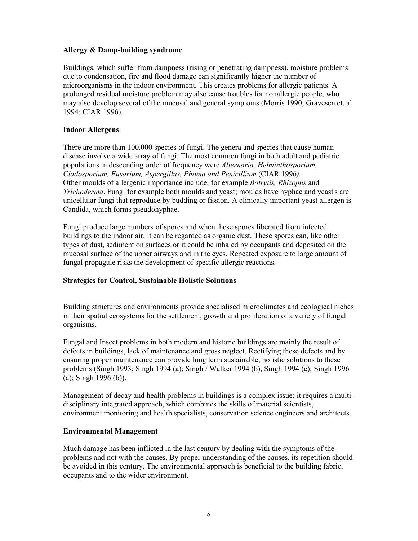#### Allergy & Damp-building syndrome

Buildings, which suffer from dampness (rising or penetrating dampness), moisture problems due to condensation, fire and flood damage can significantly higher the number of microorganisms in the indoor environment. This creates problems for allergic patients. A prolonged residual moisture problem may also cause troubles for nonallergic people, who may also develop several of the mucosal and general symptoms (Morris 1990; Gravesen et. al 1994; CIAR 1996).

#### Indoor Allergens

There are more than 100.000 species of fungi. The genera and species that cause human disease involve a wide array of fungi. The most common fungi in both adult and pediatric populations in descending order of frequency were Alternaria, Helminthosporium, Cladosporium, Fusarium, Aspergillus, Phoma and Penicillium (CIAR 1996). Other moulds of allergenic importance include, for example Botrytis, Rhizopus and Trichoderma. Fungi for example both moulds and yeast; moulds have hyphae and yeast's are unicellular fungi that reproduce by budding or fission. A clinically important yeast allergen is Candida, which forms pseudohyphae.

Fungi produce large numbers of spores and when these spores liberated from infected buildings to the indoor air, it can be regarded as organic dust. These spores can, like other types of dust, sediment on surfaces or it could be inhaled by occupants and deposited on the mucosal surface of the upper airways and in the eyes. Repeated exposure to large amount of fungal propagule risks the development of specific allergic reactions.

## Strategies for Control, Sustainable Holistic Solutions

Building structures and environments provide specialised microclimates and ecological niches in their spatial ecosystems for the settlement, growth and proliferation of a variety of fungal organisms.

Fungal and Insect problems in both modern and historic buildings are mainly the result of defects in buildings, lack of maintenance and gross neglect. Rectifying these defects and by ensuring proper maintenance can provide long term sustainable, holistic solutions to these problems (Singh 1993; Singh 1994 (a); Singh / Walker 1994 (b), Singh 1994 (c); Singh 1996 (a); Singh 1996 (b)).

Management of decay and health problems in buildings is a complex issue; it requires a multidisciplinary integrated approach, which combines the skills of material scientists, environment monitoring and health specialists, conservation science engineers and architects.

#### Environmental Management

Much damage has been inflicted in the last century by dealing with the symptoms of the problems and not with the causes. By proper understanding of the causes, its repetition should be avoided in this century. The environmental approach is beneficial to the building fabric, occupants and to the wider environment.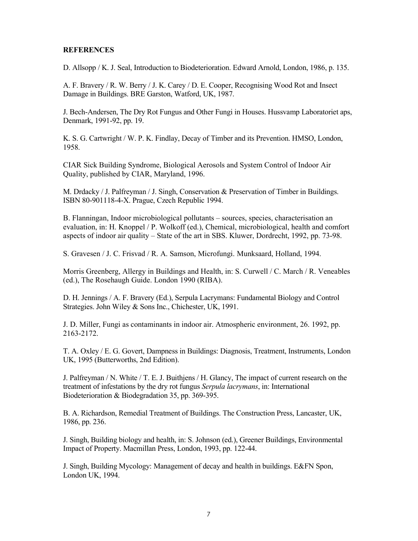#### **REFERENCES**

D. Allsopp / K. J. Seal, Introduction to Biodeterioration. Edward Arnold, London, 1986, p. 135.

A. F. Bravery / R. W. Berry / J. K. Carey / D. E. Cooper, Recognising Wood Rot and Insect Damage in Buildings. BRE Garston, Watford, UK, 1987.

J. Bech-Andersen, The Dry Rot Fungus and Other Fungi in Houses. Hussvamp Laboratoriet aps, Denmark, 1991-92, pp. 19.

K. S. G. Cartwright / W. P. K. Findlay, Decay of Timber and its Prevention. HMSO, London, 1958.

CIAR Sick Building Syndrome, Biological Aerosols and System Control of Indoor Air Quality, published by CIAR, Maryland, 1996.

M. Drdacky / J. Palfreyman / J. Singh, Conservation & Preservation of Timber in Buildings. ISBN 80-901118-4-X. Prague, Czech Republic 1994.

B. Flanningan, Indoor microbiological pollutants – sources, species, characterisation an evaluation, in: H. Knoppel / P. Wolkoff (ed.), Chemical, microbiological, health and comfort aspects of indoor air quality – State of the art in SBS. Kluwer, Dordrecht, 1992, pp. 73-98.

S. Gravesen / J. C. Frisvad / R. A. Samson, Microfungi. Munksaard, Holland, 1994.

Morris Greenberg, Allergy in Buildings and Health, in: S. Curwell / C. March / R. Veneables (ed.), The Rosehaugh Guide. London 1990 (RIBA).

D. H. Jennings / A. F. Bravery (Ed.), Serpula Lacrymans: Fundamental Biology and Control Strategies. John Wiley & Sons Inc., Chichester, UK, 1991.

J. D. Miller, Fungi as contaminants in indoor air. Atmospheric environment, 26. 1992, pp. 2163-2172.

T. A. Oxley / E. G. Govert, Dampness in Buildings: Diagnosis, Treatment, Instruments, London UK, 1995 (Butterworths, 2nd Edition).

J. Palfreyman / N. White / T. E. J. Buithjens / H. Glancy, The impact of current research on the treatment of infestations by the dry rot fungus Serpula lacrymans, in: International Biodeterioration & Biodegradation 35, pp. 369-395.

B. A. Richardson, Remedial Treatment of Buildings. The Construction Press, Lancaster, UK, 1986, pp. 236.

J. Singh, Building biology and health, in: S. Johnson (ed.), Greener Buildings, Environmental Impact of Property. Macmillan Press, London, 1993, pp. 122-44.

J. Singh, Building Mycology: Management of decay and health in buildings. E&FN Spon, London UK, 1994.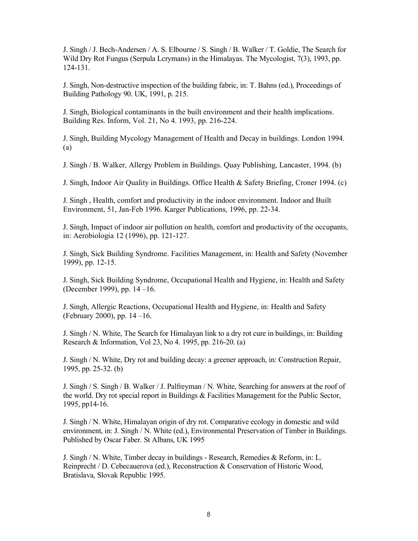J. Singh / J. Bech-Andersen / A. S. Elbourne / S. Singh / B. Walker / T. Goldie, The Search for Wild Dry Rot Fungus (Serpula Lcrymans) in the Himalayas. The Mycologist, 7(3), 1993, pp. 124-131.

J. Singh, Non-destructive inspection of the building fabric, in: T. Bahns (ed.), Proceedings of Building Pathology 90. UK, 1991, p. 215.

J. Singh, Biological contaminants in the built environment and their health implications. Building Res. Inform, Vol. 21, No 4. 1993, pp. 216-224.

J. Singh, Building Mycology Management of Health and Decay in buildings. London 1994. (a)

J. Singh / B. Walker, Allergy Problem in Buildings. Quay Publishing, Lancaster, 1994. (b)

J. Singh, Indoor Air Quality in Buildings. Office Health & Safety Briefing, Croner 1994. (c)

J. Singh , Health, comfort and productivity in the indoor environment. Indoor and Built Environment, 51, Jan-Feb 1996. Karger Publications, 1996, pp. 22-34.

J. Singh, Impact of indoor air pollution on health, comfort and productivity of the occupants, in: Aerobiologia 12 (1996), pp. 121-127.

J. Singh, Sick Building Syndrome. Facilities Management, in: Health and Safety (November 1999), pp. 12-15.

J. Singh, Sick Building Syndrome, Occupational Health and Hygiene, in: Health and Safety (December 1999), pp. 14 –16.

J. Singh, Allergic Reactions, Occupational Health and Hygiene, in: Health and Safety (February 2000), pp. 14 –16.

J. Singh / N. White, The Search for Himalayan link to a dry rot cure in buildings, in: Building Research & Information, Vol 23, No 4. 1995, pp. 216-20. (a)

J. Singh / N. White, Dry rot and building decay: a greener approach, in: Construction Repair, 1995, pp. 25-32. (b)

J. Singh / S. Singh / B. Walker / J. Palfreyman / N. White, Searching for answers at the roof of the world. Dry rot special report in Buildings & Facilities Management for the Public Sector, 1995, pp14-16.

J. Singh / N. White, Himalayan origin of dry rot. Comparative ecology in domestic and wild environment, in: J. Singh / N. White (ed.), Environmental Preservation of Timber in Buildings. Published by Oscar Faber. St Albans, UK 1995

J. Singh / N. White, Timber decay in buildings - Research, Remedies & Reform, in: L. Reinprecht / D. Cebecauerova (ed.), Reconstruction & Conservation of Historic Wood, Bratislava, Slovak Republic 1995.